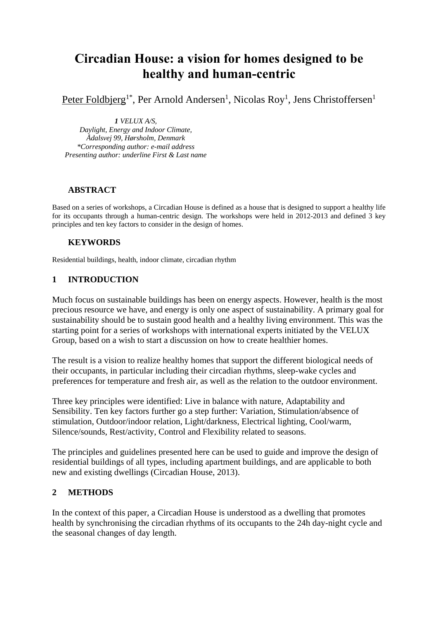# **Circadian House: a vision for homes designed to be healthy and human-centric**

Peter Foldbjerg<sup>1\*</sup>, Per Arnold Andersen<sup>1</sup>, Nicolas Roy<sup>1</sup>, Jens Christoffersen<sup>1</sup>

*1 VELUX A/S, Daylight, Energy and Indoor Climate,* 

*Ådalsvej 99, Hørsholm, Denmark \*Corresponding author: e-mail address Presenting author: underline First & Last name*

#### **ABSTRACT**

Based on a series of workshops, a Circadian House is defined as a house that is designed to support a healthy life for its occupants through a human-centric design. The workshops were held in 2012-2013 and defined 3 key principles and ten key factors to consider in the design of homes.

#### **KEYWORDS**

Residential buildings, health, indoor climate, circadian rhythm

#### **1 INTRODUCTION**

Much focus on sustainable buildings has been on energy aspects. However, health is the most precious resource we have, and energy is only one aspect of sustainability. A primary goal for sustainability should be to sustain good health and a healthy living environment. This was the starting point for a series of workshops with international experts initiated by the VELUX Group, based on a wish to start a discussion on how to create healthier homes.

The result is a vision to realize healthy homes that support the different biological needs of their occupants, in particular including their circadian rhythms, sleep-wake cycles and preferences for temperature and fresh air, as well as the relation to the outdoor environment.

Three key principles were identified: Live in balance with nature, Adaptability and Sensibility. Ten key factors further go a step further: Variation, Stimulation/absence of stimulation, Outdoor/indoor relation, Light/darkness, Electrical lighting, Cool/warm, Silence/sounds, Rest/activity, Control and Flexibility related to seasons.

The principles and guidelines presented here can be used to guide and improve the design of residential buildings of all types, including apartment buildings, and are applicable to both new and existing dwellings (Circadian House, 2013).

#### **2 METHODS**

In the context of this paper, a Circadian House is understood as a dwelling that promotes health by synchronising the circadian rhythms of its occupants to the 24h day-night cycle and the seasonal changes of day length.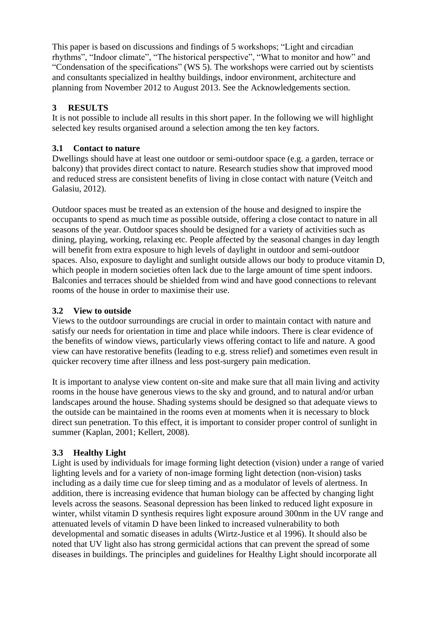This paper is based on discussions and findings of 5 workshops; "Light and circadian rhythms", "Indoor climate", "The historical perspective", "What to monitor and how" and "Condensation of the specifications" (WS 5). The workshops were carried out by scientists and consultants specialized in healthy buildings, indoor environment, architecture and planning from November 2012 to August 2013. See the Acknowledgements section.

# **3 RESULTS**

It is not possible to include all results in this short paper. In the following we will highlight selected key results organised around a selection among the ten key factors.

# **3.1 Contact to nature**

Dwellings should have at least one outdoor or semi-outdoor space (e.g. a garden, terrace or balcony) that provides direct contact to nature. Research studies show that improved mood and reduced stress are consistent benefits of living in close contact with nature (Veitch and Galasiu, 2012).

Outdoor spaces must be treated as an extension of the house and designed to inspire the occupants to spend as much time as possible outside, offering a close contact to nature in all seasons of the year. Outdoor spaces should be designed for a variety of activities such as dining, playing, working, relaxing etc. People affected by the seasonal changes in day length will benefit from extra exposure to high levels of daylight in outdoor and semi-outdoor spaces. Also, exposure to daylight and sunlight outside allows our body to produce vitamin D, which people in modern societies often lack due to the large amount of time spent indoors. Balconies and terraces should be shielded from wind and have good connections to relevant rooms of the house in order to maximise their use.

# **3.2 View to outside**

Views to the outdoor surroundings are crucial in order to maintain contact with nature and satisfy our needs for orientation in time and place while indoors. There is clear evidence of the benefits of window views, particularly views offering contact to life and nature. A good view can have restorative benefits (leading to e.g. stress relief) and sometimes even result in quicker recovery time after illness and less post-surgery pain medication.

It is important to analyse view content on-site and make sure that all main living and activity rooms in the house have generous views to the sky and ground, and to natural and/or urban landscapes around the house. Shading systems should be designed so that adequate views to the outside can be maintained in the rooms even at moments when it is necessary to block direct sun penetration. To this effect, it is important to consider proper control of sunlight in summer (Kaplan, 2001; Kellert, 2008).

# **3.3 Healthy Light**

Light is used by individuals for image forming light detection (vision) under a range of varied lighting levels and for a variety of non-image forming light detection (non-vision) tasks including as a daily time cue for sleep timing and as a modulator of levels of alertness. In addition, there is increasing evidence that human biology can be affected by changing light levels across the seasons. Seasonal depression has been linked to reduced light exposure in winter, whilst vitamin D synthesis requires light exposure around 300nm in the UV range and attenuated levels of vitamin D have been linked to increased vulnerability to both developmental and somatic diseases in adults (Wirtz-Justice et al 1996). It should also be noted that UV light also has strong germicidal actions that can prevent the spread of some diseases in buildings. The principles and guidelines for Healthy Light should incorporate all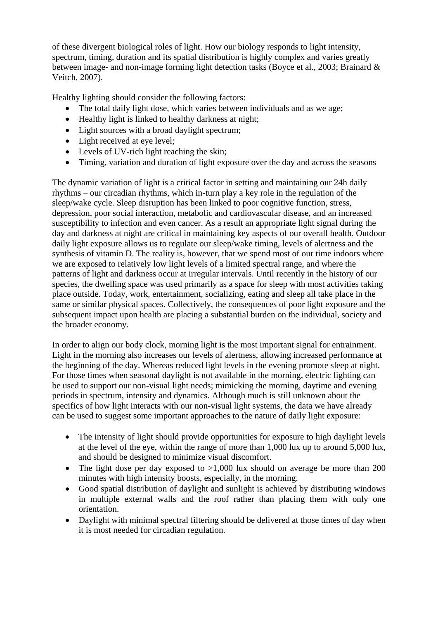of these divergent biological roles of light. How our biology responds to light intensity, spectrum, timing, duration and its spatial distribution is highly complex and varies greatly between image- and non-image forming light detection tasks (Boyce et al., 2003; Brainard & Veitch, 2007).

Healthy lighting should consider the following factors:

- The total daily light dose, which varies between individuals and as we age;
- Healthy light is linked to healthy darkness at night;
- Light sources with a broad daylight spectrum;
- Light received at eye level;
- Levels of UV-rich light reaching the skin;
- Timing, variation and duration of light exposure over the day and across the seasons

The dynamic variation of light is a critical factor in setting and maintaining our 24h daily rhythms – our circadian rhythms, which in-turn play a key role in the regulation of the sleep/wake cycle. Sleep disruption has been linked to poor cognitive function, stress, depression, poor social interaction, metabolic and cardiovascular disease, and an increased susceptibility to infection and even cancer. As a result an appropriate light signal during the day and darkness at night are critical in maintaining key aspects of our overall health. Outdoor daily light exposure allows us to regulate our sleep/wake timing, levels of alertness and the synthesis of vitamin D. The reality is, however, that we spend most of our time indoors where we are exposed to relatively low light levels of a limited spectral range, and where the patterns of light and darkness occur at irregular intervals. Until recently in the history of our species, the dwelling space was used primarily as a space for sleep with most activities taking place outside. Today, work, entertainment, socializing, eating and sleep all take place in the same or similar physical spaces. Collectively, the consequences of poor light exposure and the subsequent impact upon health are placing a substantial burden on the individual, society and the broader economy.

In order to align our body clock, morning light is the most important signal for entrainment. Light in the morning also increases our levels of alertness, allowing increased performance at the beginning of the day. Whereas reduced light levels in the evening promote sleep at night. For those times when seasonal daylight is not available in the morning, electric lighting can be used to support our non-visual light needs; mimicking the morning, daytime and evening periods in spectrum, intensity and dynamics. Although much is still unknown about the specifics of how light interacts with our non-visual light systems, the data we have already can be used to suggest some important approaches to the nature of daily light exposure:

- The intensity of light should provide opportunities for exposure to high daylight levels at the level of the eye, within the range of more than 1,000 lux up to around 5,000 lux, and should be designed to minimize visual discomfort.
- The light dose per day exposed to  $>1,000$  lux should on average be more than 200 minutes with high intensity boosts, especially, in the morning.
- Good spatial distribution of daylight and sunlight is achieved by distributing windows in multiple external walls and the roof rather than placing them with only one orientation.
- Daylight with minimal spectral filtering should be delivered at those times of day when it is most needed for circadian regulation.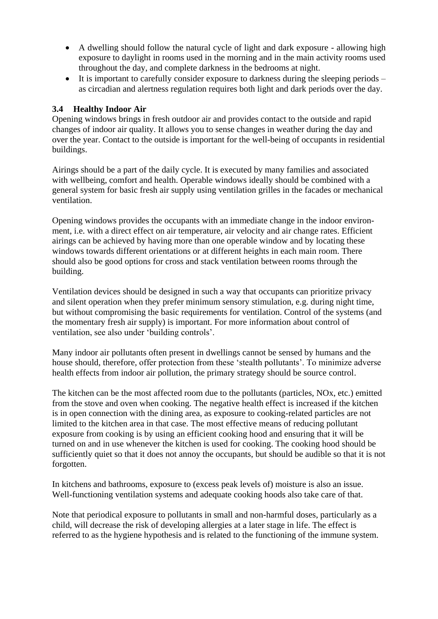- A dwelling should follow the natural cycle of light and dark exposure allowing high exposure to daylight in rooms used in the morning and in the main activity rooms used throughout the day, and complete darkness in the bedrooms at night.
- $\bullet$  It is important to carefully consider exposure to darkness during the sleeping periods as circadian and alertness regulation requires both light and dark periods over the day.

#### **3.4 Healthy Indoor Air**

Opening windows brings in fresh outdoor air and provides contact to the outside and rapid changes of indoor air quality. It allows you to sense changes in weather during the day and over the year. Contact to the outside is important for the well-being of occupants in residential buildings.

Airings should be a part of the daily cycle. It is executed by many families and associated with wellbeing, comfort and health. Operable windows ideally should be combined with a general system for basic fresh air supply using ventilation grilles in the facades or mechanical ventilation.

Opening windows provides the occupants with an immediate change in the indoor environment, i.e. with a direct effect on air temperature, air velocity and air change rates. Efficient airings can be achieved by having more than one operable window and by locating these windows towards different orientations or at different heights in each main room. There should also be good options for cross and stack ventilation between rooms through the building.

Ventilation devices should be designed in such a way that occupants can prioritize privacy and silent operation when they prefer minimum sensory stimulation, e.g. during night time, but without compromising the basic requirements for ventilation. Control of the systems (and the momentary fresh air supply) is important. For more information about control of ventilation, see also under 'building controls'.

Many indoor air pollutants often present in dwellings cannot be sensed by humans and the house should, therefore, offer protection from these 'stealth pollutants'. To minimize adverse health effects from indoor air pollution, the primary strategy should be source control.

The kitchen can be the most affected room due to the pollutants (particles, NOx, etc.) emitted from the stove and oven when cooking. The negative health effect is increased if the kitchen is in open connection with the dining area, as exposure to cooking-related particles are not limited to the kitchen area in that case. The most effective means of reducing pollutant exposure from cooking is by using an efficient cooking hood and ensuring that it will be turned on and in use whenever the kitchen is used for cooking. The cooking hood should be sufficiently quiet so that it does not annoy the occupants, but should be audible so that it is not forgotten.

In kitchens and bathrooms, exposure to (excess peak levels of) moisture is also an issue. Well-functioning ventilation systems and adequate cooking hoods also take care of that.

Note that periodical exposure to pollutants in small and non-harmful doses, particularly as a child, will decrease the risk of developing allergies at a later stage in life. The effect is referred to as the hygiene hypothesis and is related to the functioning of the immune system.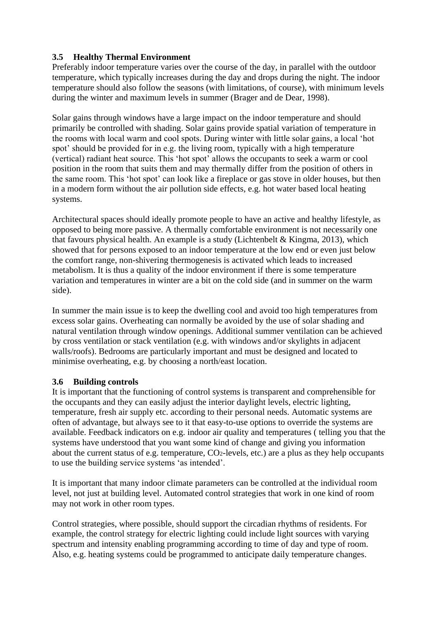#### **3.5 Healthy Thermal Environment**

Preferably indoor temperature varies over the course of the day, in parallel with the outdoor temperature, which typically increases during the day and drops during the night. The indoor temperature should also follow the seasons (with limitations, of course), with minimum levels during the winter and maximum levels in summer (Brager and de Dear, 1998).

Solar gains through windows have a large impact on the indoor temperature and should primarily be controlled with shading. Solar gains provide spatial variation of temperature in the rooms with local warm and cool spots. During winter with little solar gains, a local 'hot spot' should be provided for in e.g. the living room, typically with a high temperature (vertical) radiant heat source. This 'hot spot' allows the occupants to seek a warm or cool position in the room that suits them and may thermally differ from the position of others in the same room. This 'hot spot' can look like a fireplace or gas stove in older houses, but then in a modern form without the air pollution side effects, e.g. hot water based local heating systems.

Architectural spaces should ideally promote people to have an active and healthy lifestyle, as opposed to being more passive. A thermally comfortable environment is not necessarily one that favours physical health. An example is a study (Lichtenbelt & Kingma, 2013), which showed that for persons exposed to an indoor temperature at the low end or even just below the comfort range, non-shivering thermogenesis is activated which leads to increased metabolism. It is thus a quality of the indoor environment if there is some temperature variation and temperatures in winter are a bit on the cold side (and in summer on the warm side).

In summer the main issue is to keep the dwelling cool and avoid too high temperatures from excess solar gains. Overheating can normally be avoided by the use of solar shading and natural ventilation through window openings. Additional summer ventilation can be achieved by cross ventilation or stack ventilation (e.g. with windows and/or skylights in adjacent walls/roofs). Bedrooms are particularly important and must be designed and located to minimise overheating, e.g. by choosing a north/east location.

#### **3.6 Building controls**

It is important that the functioning of control systems is transparent and comprehensible for the occupants and they can easily adjust the interior daylight levels, electric lighting, temperature, fresh air supply etc. according to their personal needs. Automatic systems are often of advantage, but always see to it that easy-to-use options to override the systems are available. Feedback indicators on e.g. indoor air quality and temperatures ( telling you that the systems have understood that you want some kind of change and giving you information about the current status of e.g. temperature,  $CO<sub>2</sub>$ -levels, etc.) are a plus as they help occupants to use the building service systems 'as intended'.

It is important that many indoor climate parameters can be controlled at the individual room level, not just at building level. Automated control strategies that work in one kind of room may not work in other room types.

Control strategies, where possible, should support the circadian rhythms of residents. For example, the control strategy for electric lighting could include light sources with varying spectrum and intensity enabling programming according to time of day and type of room. Also, e.g. heating systems could be programmed to anticipate daily temperature changes.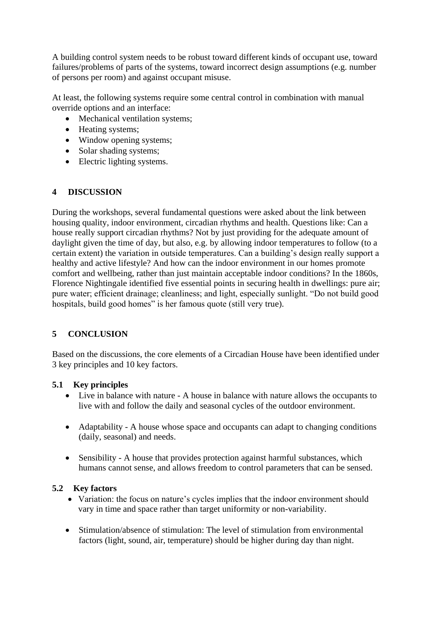A building control system needs to be robust toward different kinds of occupant use, toward failures/problems of parts of the systems, toward incorrect design assumptions (e.g. number of persons per room) and against occupant misuse.

At least, the following systems require some central control in combination with manual override options and an interface:

- Mechanical ventilation systems;
- Heating systems;
- Window opening systems;
- Solar shading systems;
- Electric lighting systems.

# **4 DISCUSSION**

During the workshops, several fundamental questions were asked about the link between housing quality, indoor environment, circadian rhythms and health. Questions like: Can a house really support circadian rhythms? Not by just providing for the adequate amount of daylight given the time of day, but also, e.g. by allowing indoor temperatures to follow (to a certain extent) the variation in outside temperatures. Can a building's design really support a healthy and active lifestyle? And how can the indoor environment in our homes promote comfort and wellbeing, rather than just maintain acceptable indoor conditions? In the 1860s, Florence Nightingale identified five essential points in securing health in dwellings: pure air; pure water; efficient drainage; cleanliness; and light, especially sunlight. "Do not build good hospitals, build good homes" is her famous quote (still very true).

# **5 CONCLUSION**

Based on the discussions, the core elements of a Circadian House have been identified under 3 key principles and 10 key factors.

#### **5.1 Key principles**

- Live in balance with nature A house in balance with nature allows the occupants to live with and follow the daily and seasonal cycles of the outdoor environment.
- Adaptability A house whose space and occupants can adapt to changing conditions (daily, seasonal) and needs.
- Sensibility A house that provides protection against harmful substances, which humans cannot sense, and allows freedom to control parameters that can be sensed.

#### **5.2 Key factors**

- Variation: the focus on nature's cycles implies that the indoor environment should vary in time and space rather than target uniformity or non-variability.
- Stimulation/absence of stimulation: The level of stimulation from environmental factors (light, sound, air, temperature) should be higher during day than night.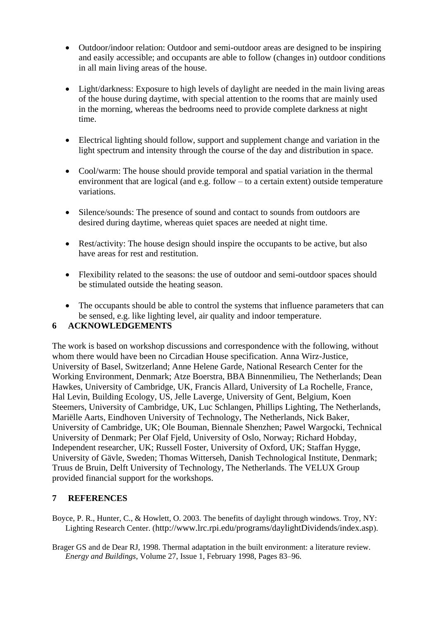- Outdoor/indoor relation: Outdoor and semi-outdoor areas are designed to be inspiring and easily accessible; and occupants are able to follow (changes in) outdoor conditions in all main living areas of the house.
- Light/darkness: Exposure to high levels of daylight are needed in the main living areas of the house during daytime, with special attention to the rooms that are mainly used in the morning, whereas the bedrooms need to provide complete darkness at night time.
- Electrical lighting should follow, support and supplement change and variation in the light spectrum and intensity through the course of the day and distribution in space.
- Cool/warm: The house should provide temporal and spatial variation in the thermal environment that are logical (and e.g. follow – to a certain extent) outside temperature variations.
- Silence/sounds: The presence of sound and contact to sounds from outdoors are desired during daytime, whereas quiet spaces are needed at night time.
- Rest/activity: The house design should inspire the occupants to be active, but also have areas for rest and restitution.
- Flexibility related to the seasons: the use of outdoor and semi-outdoor spaces should be stimulated outside the heating season.
- The occupants should be able to control the systems that influence parameters that can be sensed, e.g. like lighting level, air quality and indoor temperature.

#### **6 ACKNOWLEDGEMENTS**

The work is based on workshop discussions and correspondence with the following, without whom there would have been no Circadian House specification. Anna Wirz-Justice, University of Basel, Switzerland; Anne Helene Garde, National Research Center for the Working Environment, Denmark; Atze Boerstra, BBA Binnenmilieu, The Netherlands; Dean Hawkes, University of Cambridge, UK, Francis Allard, University of La Rochelle, France, Hal Levin, Building Ecology, US, Jelle Laverge, University of Gent, Belgium, Koen Steemers, University of Cambridge, UK, Luc Schlangen, Phillips Lighting, The Netherlands, Mariëlle Aarts, Eindhoven University of Technology, The Netherlands, Nick Baker, University of Cambridge, UK; Ole Bouman, Biennale Shenzhen; Pawel Wargocki, Technical University of Denmark; Per Olaf Fjeld, University of Oslo, Norway; Richard Hobday, Independent researcher, UK; Russell Foster, University of Oxford, UK; Staffan Hygge, University of Gävle, Sweden; Thomas Witterseh, Danish Technological Institute, Denmark; Truus de Bruin, Delft University of Technology, The Netherlands. The VELUX Group provided financial support for the workshops.

#### **7 REFERENCES**

- Boyce, P. R., Hunter, C., & Howlett, O. 2003. The benefits of daylight through windows. Troy, NY: Lighting Research Center. (<http://www.lrc.rpi.edu/programs/daylightDividends/index.asp>).
- Brager GS and de Dear RJ, 1998. Thermal adaptation in the built environment: a literature review. *Energy and Buildings*, Volume 27, Issue 1, February 1998, Pages 83–96.